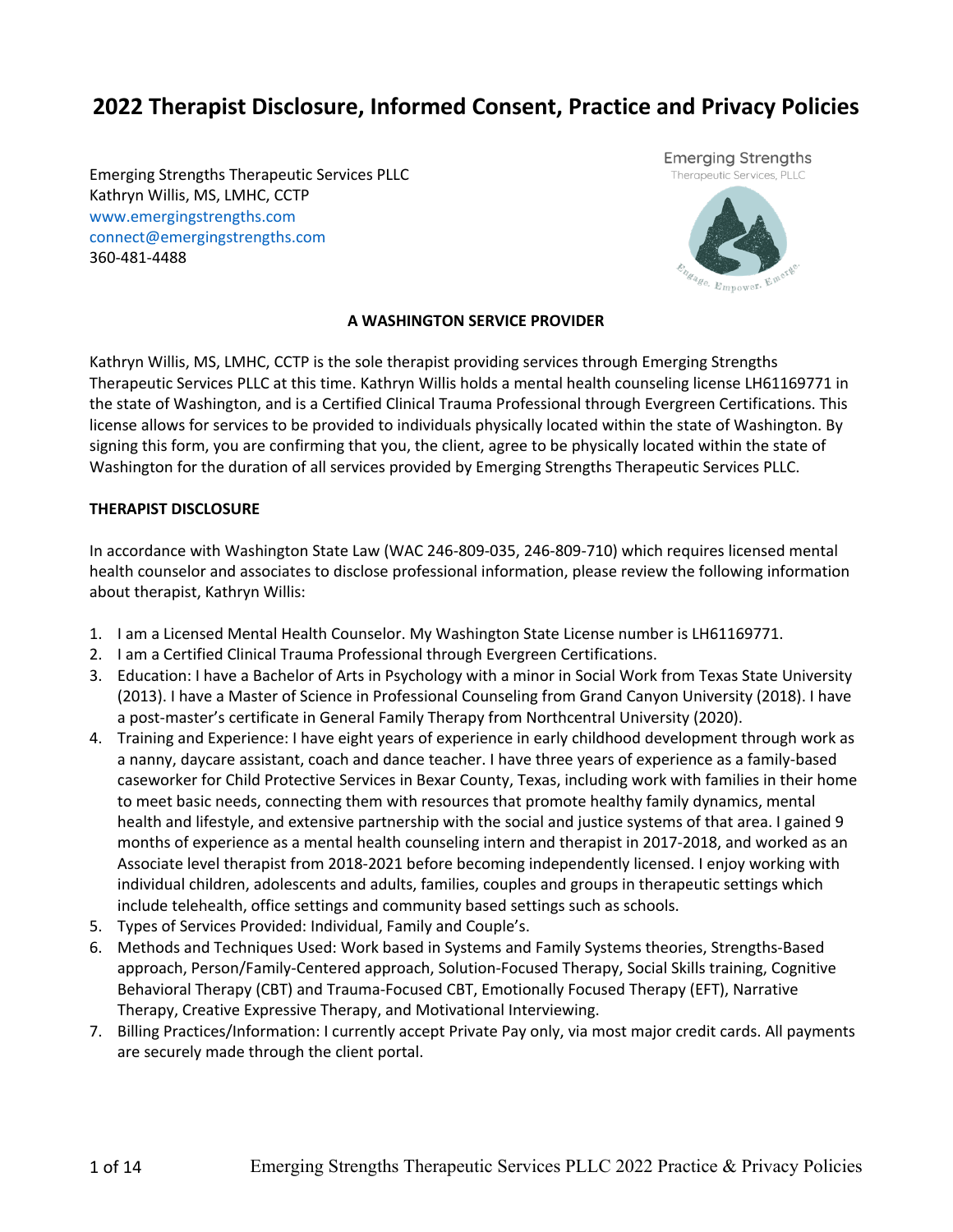# **2022 Therapist Disclosure, Informed Consent, Practice and Privacy Policies**

Emerging Strengths Therapeutic Services PLLC Kathryn Willis, MS, LMHC, CCTP www.emergingstrengths.com connect@emergingstrengths.com 360-481-4488



#### **A WASHINGTON SERVICE PROVIDER**

Kathryn Willis, MS, LMHC, CCTP is the sole therapist providing services through Emerging Strengths Therapeutic Services PLLC at this time. Kathryn Willis holds a mental health counseling license LH61169771 in the state of Washington, and is a Certified Clinical Trauma Professional through Evergreen Certifications. This license allows for services to be provided to individuals physically located within the state of Washington. By signing this form, you are confirming that you, the client, agree to be physically located within the state of Washington for the duration of all services provided by Emerging Strengths Therapeutic Services PLLC.

#### **THERAPIST DISCLOSURE**

In accordance with Washington State Law (WAC 246-809-035, 246-809-710) which requires licensed mental health counselor and associates to disclose professional information, please review the following information about therapist, Kathryn Willis:

- 1. I am a Licensed Mental Health Counselor. My Washington State License number is LH61169771.
- 2. I am a Certified Clinical Trauma Professional through Evergreen Certifications.
- 3. Education: I have a Bachelor of Arts in Psychology with a minor in Social Work from Texas State University (2013). I have a Master of Science in Professional Counseling from Grand Canyon University (2018). I have a post-master's certificate in General Family Therapy from Northcentral University (2020).
- 4. Training and Experience: I have eight years of experience in early childhood development through work as a nanny, daycare assistant, coach and dance teacher. I have three years of experience as a family-based caseworker for Child Protective Services in Bexar County, Texas, including work with families in their home to meet basic needs, connecting them with resources that promote healthy family dynamics, mental health and lifestyle, and extensive partnership with the social and justice systems of that area. I gained 9 months of experience as a mental health counseling intern and therapist in 2017-2018, and worked as an Associate level therapist from 2018-2021 before becoming independently licensed. I enjoy working with individual children, adolescents and adults, families, couples and groups in therapeutic settings which include telehealth, office settings and community based settings such as schools.
- 5. Types of Services Provided: Individual, Family and Couple's.
- 6. Methods and Techniques Used: Work based in Systems and Family Systems theories, Strengths-Based approach, Person/Family-Centered approach, Solution-Focused Therapy, Social Skills training, Cognitive Behavioral Therapy (CBT) and Trauma-Focused CBT, Emotionally Focused Therapy (EFT), Narrative Therapy, Creative Expressive Therapy, and Motivational Interviewing.
- 7. Billing Practices/Information: I currently accept Private Pay only, via most major credit cards. All payments are securely made through the client portal.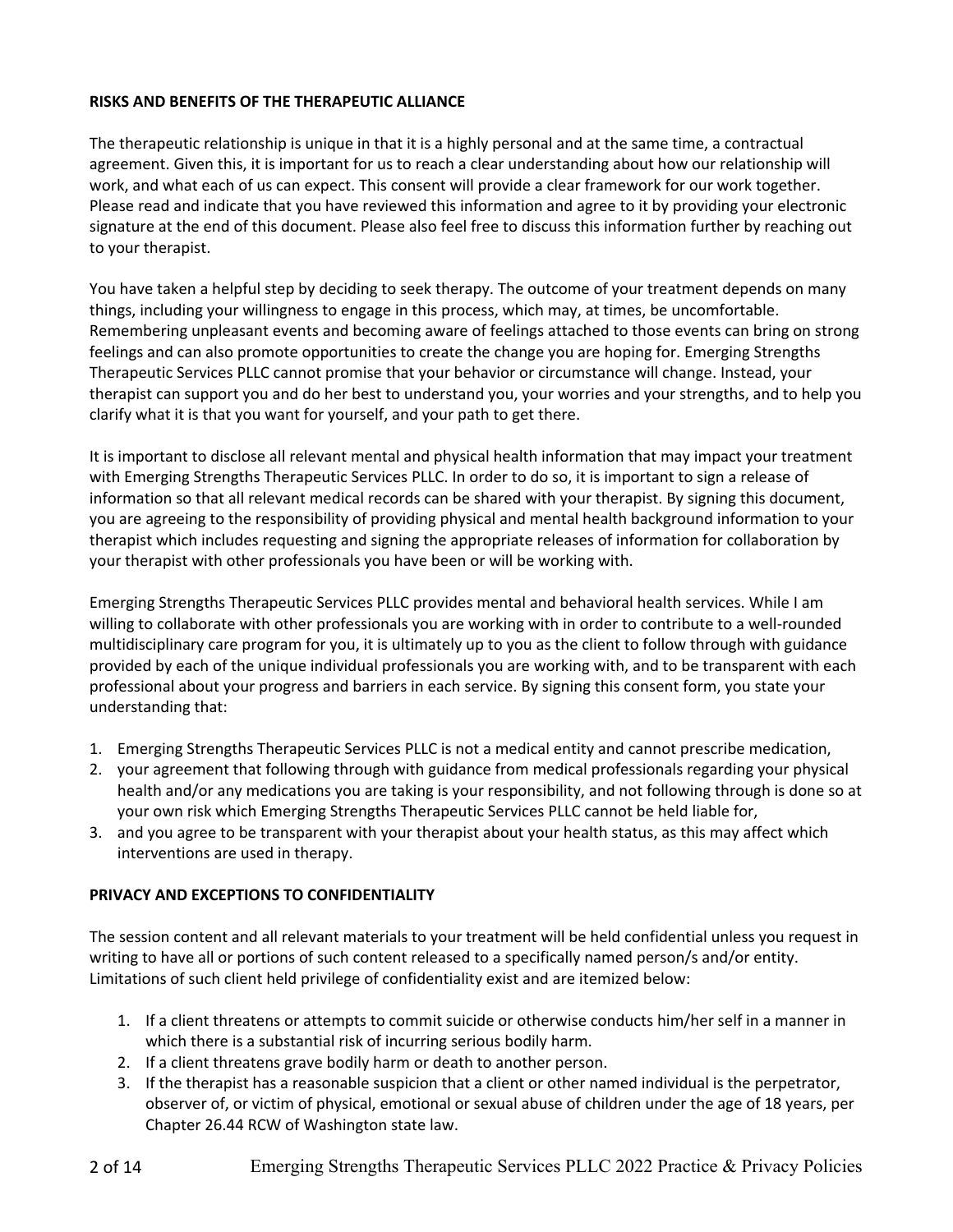## **RISKS AND BENEFITS OF THE THERAPEUTIC ALLIANCE**

The therapeutic relationship is unique in that it is a highly personal and at the same time, a contractual agreement. Given this, it is important for us to reach a clear understanding about how our relationship will work, and what each of us can expect. This consent will provide a clear framework for our work together. Please read and indicate that you have reviewed this information and agree to it by providing your electronic signature at the end of this document. Please also feel free to discuss this information further by reaching out to your therapist.

You have taken a helpful step by deciding to seek therapy. The outcome of your treatment depends on many things, including your willingness to engage in this process, which may, at times, be uncomfortable. Remembering unpleasant events and becoming aware of feelings attached to those events can bring on strong feelings and can also promote opportunities to create the change you are hoping for. Emerging Strengths Therapeutic Services PLLC cannot promise that your behavior or circumstance will change. Instead, your therapist can support you and do her best to understand you, your worries and your strengths, and to help you clarify what it is that you want for yourself, and your path to get there.

It is important to disclose all relevant mental and physical health information that may impact your treatment with Emerging Strengths Therapeutic Services PLLC. In order to do so, it is important to sign a release of information so that all relevant medical records can be shared with your therapist. By signing this document, you are agreeing to the responsibility of providing physical and mental health background information to your therapist which includes requesting and signing the appropriate releases of information for collaboration by your therapist with other professionals you have been or will be working with.

Emerging Strengths Therapeutic Services PLLC provides mental and behavioral health services. While I am willing to collaborate with other professionals you are working with in order to contribute to a well-rounded multidisciplinary care program for you, it is ultimately up to you as the client to follow through with guidance provided by each of the unique individual professionals you are working with, and to be transparent with each professional about your progress and barriers in each service. By signing this consent form, you state your understanding that:

- 1. Emerging Strengths Therapeutic Services PLLC is not a medical entity and cannot prescribe medication,
- 2. your agreement that following through with guidance from medical professionals regarding your physical health and/or any medications you are taking is your responsibility, and not following through is done so at your own risk which Emerging Strengths Therapeutic Services PLLC cannot be held liable for,
- 3. and you agree to be transparent with your therapist about your health status, as this may affect which interventions are used in therapy.

## **PRIVACY AND EXCEPTIONS TO CONFIDENTIALITY**

The session content and all relevant materials to your treatment will be held confidential unless you request in writing to have all or portions of such content released to a specifically named person/s and/or entity. Limitations of such client held privilege of confidentiality exist and are itemized below:

- 1. If a client threatens or attempts to commit suicide or otherwise conducts him/her self in a manner in which there is a substantial risk of incurring serious bodily harm.
- 2. If a client threatens grave bodily harm or death to another person.
- 3. If the therapist has a reasonable suspicion that a client or other named individual is the perpetrator, observer of, or victim of physical, emotional or sexual abuse of children under the age of 18 years, per Chapter 26.44 RCW of Washington state law.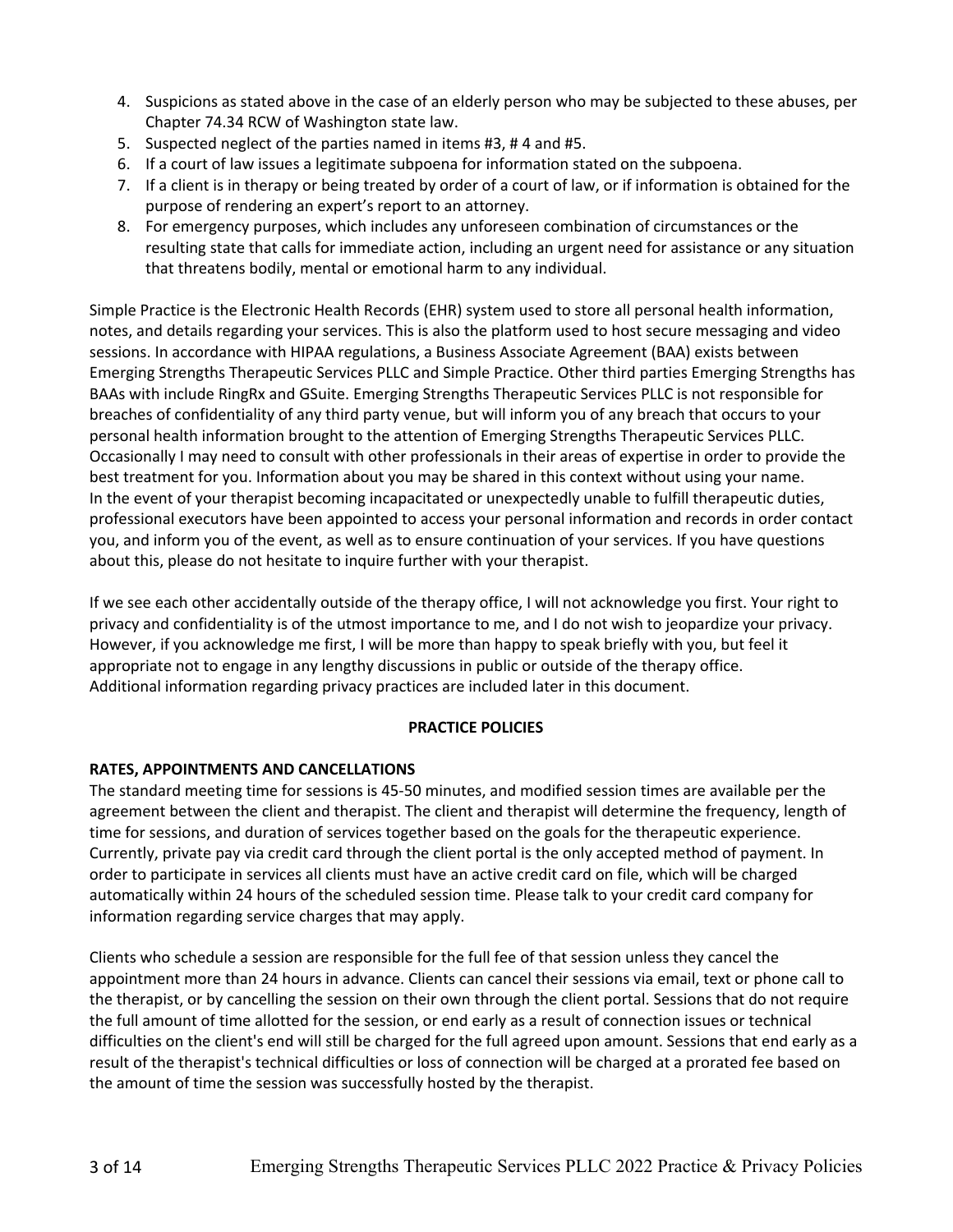- 4. Suspicions as stated above in the case of an elderly person who may be subjected to these abuses, per Chapter 74.34 RCW of Washington state law.
- 5. Suspected neglect of the parties named in items #3, # 4 and #5.
- 6. If a court of law issues a legitimate subpoena for information stated on the subpoena.
- 7. If a client is in therapy or being treated by order of a court of law, or if information is obtained for the purpose of rendering an expert's report to an attorney.
- 8. For emergency purposes, which includes any unforeseen combination of circumstances or the resulting state that calls for immediate action, including an urgent need for assistance or any situation that threatens bodily, mental or emotional harm to any individual.

Simple Practice is the Electronic Health Records (EHR) system used to store all personal health information, notes, and details regarding your services. This is also the platform used to host secure messaging and video sessions. In accordance with HIPAA regulations, a Business Associate Agreement (BAA) exists between Emerging Strengths Therapeutic Services PLLC and Simple Practice. Other third parties Emerging Strengths has BAAs with include RingRx and GSuite. Emerging Strengths Therapeutic Services PLLC is not responsible for breaches of confidentiality of any third party venue, but will inform you of any breach that occurs to your personal health information brought to the attention of Emerging Strengths Therapeutic Services PLLC. Occasionally I may need to consult with other professionals in their areas of expertise in order to provide the best treatment for you. Information about you may be shared in this context without using your name. In the event of your therapist becoming incapacitated or unexpectedly unable to fulfill therapeutic duties, professional executors have been appointed to access your personal information and records in order contact you, and inform you of the event, as well as to ensure continuation of your services. If you have questions about this, please do not hesitate to inquire further with your therapist.

If we see each other accidentally outside of the therapy office, I will not acknowledge you first. Your right to privacy and confidentiality is of the utmost importance to me, and I do not wish to jeopardize your privacy. However, if you acknowledge me first, I will be more than happy to speak briefly with you, but feel it appropriate not to engage in any lengthy discussions in public or outside of the therapy office. Additional information regarding privacy practices are included later in this document.

#### **PRACTICE POLICIES**

## **RATES, APPOINTMENTS AND CANCELLATIONS**

The standard meeting time for sessions is 45-50 minutes, and modified session times are available per the agreement between the client and therapist. The client and therapist will determine the frequency, length of time for sessions, and duration of services together based on the goals for the therapeutic experience. Currently, private pay via credit card through the client portal is the only accepted method of payment. In order to participate in services all clients must have an active credit card on file, which will be charged automatically within 24 hours of the scheduled session time. Please talk to your credit card company for information regarding service charges that may apply.

Clients who schedule a session are responsible for the full fee of that session unless they cancel the appointment more than 24 hours in advance. Clients can cancel their sessions via email, text or phone call to the therapist, or by cancelling the session on their own through the client portal. Sessions that do not require the full amount of time allotted for the session, or end early as a result of connection issues or technical difficulties on the client's end will still be charged for the full agreed upon amount. Sessions that end early as a result of the therapist's technical difficulties or loss of connection will be charged at a prorated fee based on the amount of time the session was successfully hosted by the therapist.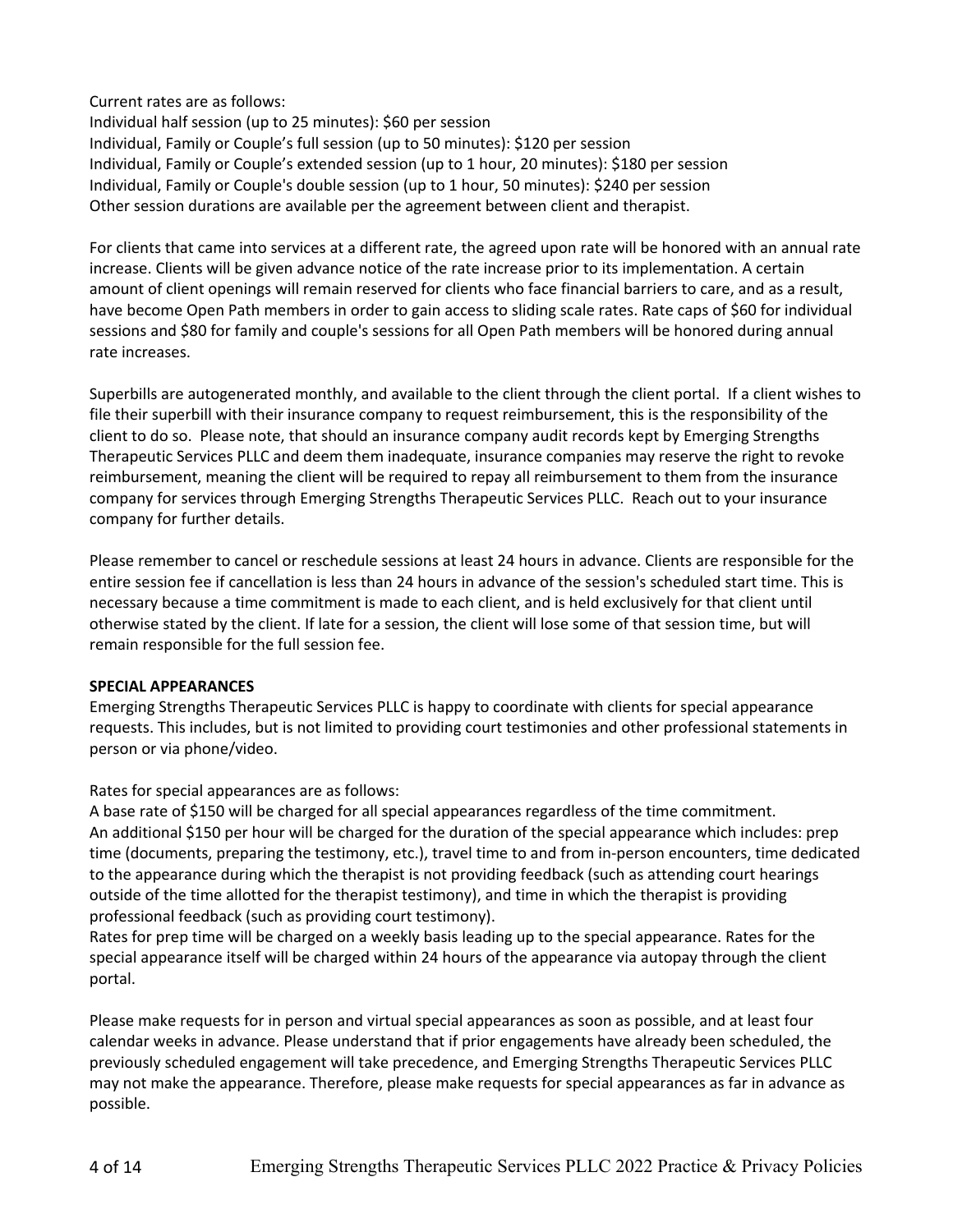Current rates are as follows:

Individual half session (up to 25 minutes): \$60 per session Individual, Family or Couple's full session (up to 50 minutes): \$120 per session Individual, Family or Couple's extended session (up to 1 hour, 20 minutes): \$180 per session Individual, Family or Couple's double session (up to 1 hour, 50 minutes): \$240 per session Other session durations are available per the agreement between client and therapist.

For clients that came into services at a different rate, the agreed upon rate will be honored with an annual rate increase. Clients will be given advance notice of the rate increase prior to its implementation. A certain amount of client openings will remain reserved for clients who face financial barriers to care, and as a result, have become Open Path members in order to gain access to sliding scale rates. Rate caps of \$60 for individual sessions and \$80 for family and couple's sessions for all Open Path members will be honored during annual rate increases.

Superbills are autogenerated monthly, and available to the client through the client portal. If a client wishes to file their superbill with their insurance company to request reimbursement, this is the responsibility of the client to do so. Please note, that should an insurance company audit records kept by Emerging Strengths Therapeutic Services PLLC and deem them inadequate, insurance companies may reserve the right to revoke reimbursement, meaning the client will be required to repay all reimbursement to them from the insurance company for services through Emerging Strengths Therapeutic Services PLLC. Reach out to your insurance company for further details.

Please remember to cancel or reschedule sessions at least 24 hours in advance. Clients are responsible for the entire session fee if cancellation is less than 24 hours in advance of the session's scheduled start time. This is necessary because a time commitment is made to each client, and is held exclusively for that client until otherwise stated by the client. If late for a session, the client will lose some of that session time, but will remain responsible for the full session fee.

#### **SPECIAL APPEARANCES**

Emerging Strengths Therapeutic Services PLLC is happy to coordinate with clients for special appearance requests. This includes, but is not limited to providing court testimonies and other professional statements in person or via phone/video.

Rates for special appearances are as follows:

A base rate of \$150 will be charged for all special appearances regardless of the time commitment. An additional \$150 per hour will be charged for the duration of the special appearance which includes: prep time (documents, preparing the testimony, etc.), travel time to and from in-person encounters, time dedicated to the appearance during which the therapist is not providing feedback (such as attending court hearings outside of the time allotted for the therapist testimony), and time in which the therapist is providing professional feedback (such as providing court testimony).

Rates for prep time will be charged on a weekly basis leading up to the special appearance. Rates for the special appearance itself will be charged within 24 hours of the appearance via autopay through the client portal.

Please make requests for in person and virtual special appearances as soon as possible, and at least four calendar weeks in advance. Please understand that if prior engagements have already been scheduled, the previously scheduled engagement will take precedence, and Emerging Strengths Therapeutic Services PLLC may not make the appearance. Therefore, please make requests for special appearances as far in advance as possible.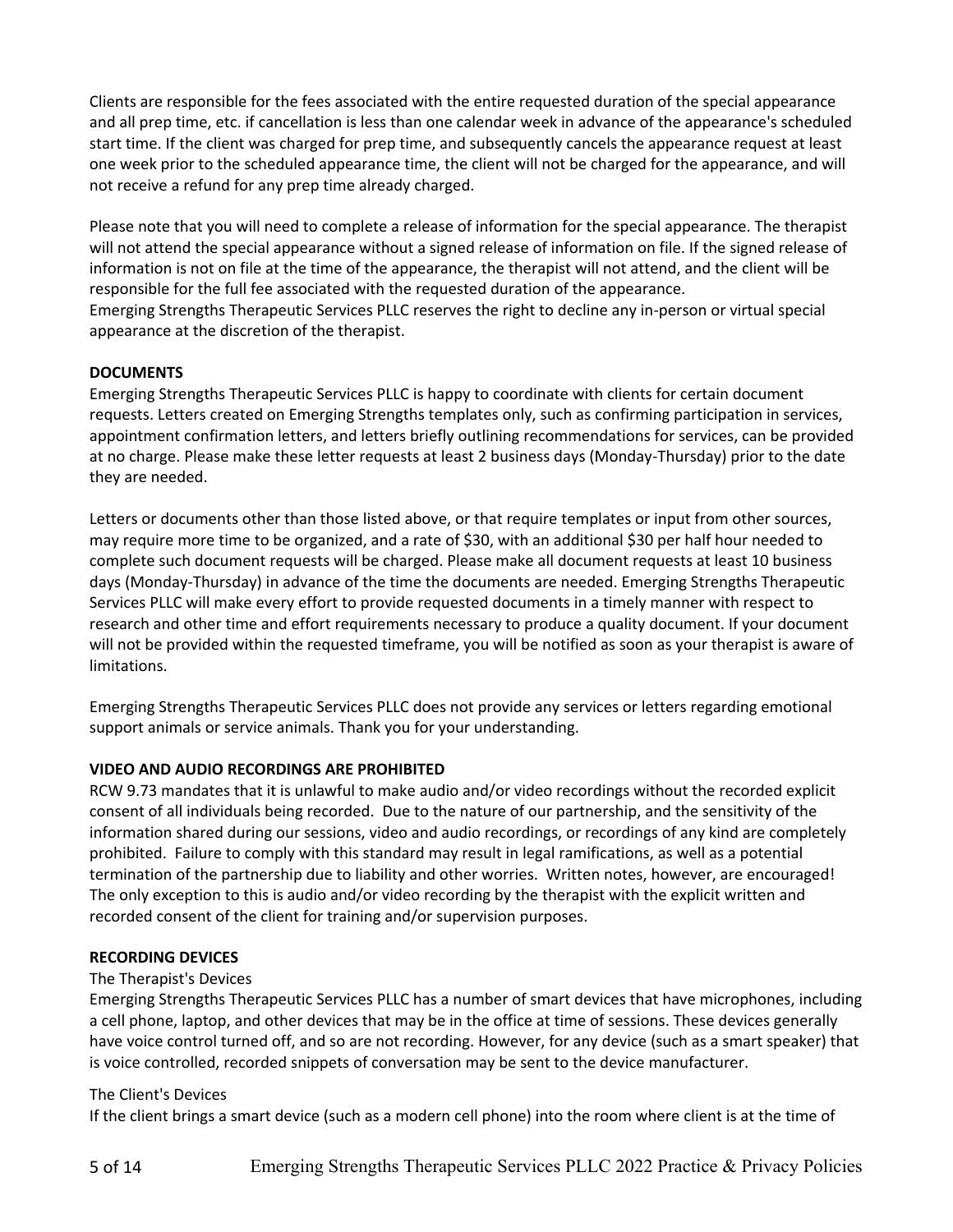Clients are responsible for the fees associated with the entire requested duration of the special appearance and all prep time, etc. if cancellation is less than one calendar week in advance of the appearance's scheduled start time. If the client was charged for prep time, and subsequently cancels the appearance request at least one week prior to the scheduled appearance time, the client will not be charged for the appearance, and will not receive a refund for any prep time already charged.

Please note that you will need to complete a release of information for the special appearance. The therapist will not attend the special appearance without a signed release of information on file. If the signed release of information is not on file at the time of the appearance, the therapist will not attend, and the client will be responsible for the full fee associated with the requested duration of the appearance. Emerging Strengths Therapeutic Services PLLC reserves the right to decline any in-person or virtual special appearance at the discretion of the therapist.

## **DOCUMENTS**

Emerging Strengths Therapeutic Services PLLC is happy to coordinate with clients for certain document requests. Letters created on Emerging Strengths templates only, such as confirming participation in services, appointment confirmation letters, and letters briefly outlining recommendations for services, can be provided at no charge. Please make these letter requests at least 2 business days (Monday-Thursday) prior to the date they are needed.

Letters or documents other than those listed above, or that require templates or input from other sources, may require more time to be organized, and a rate of \$30, with an additional \$30 per half hour needed to complete such document requests will be charged. Please make all document requests at least 10 business days (Monday-Thursday) in advance of the time the documents are needed. Emerging Strengths Therapeutic Services PLLC will make every effort to provide requested documents in a timely manner with respect to research and other time and effort requirements necessary to produce a quality document. If your document will not be provided within the requested timeframe, you will be notified as soon as your therapist is aware of limitations.

Emerging Strengths Therapeutic Services PLLC does not provide any services or letters regarding emotional support animals or service animals. Thank you for your understanding.

## **VIDEO AND AUDIO RECORDINGS ARE PROHIBITED**

RCW 9.73 mandates that it is unlawful to make audio and/or video recordings without the recorded explicit consent of all individuals being recorded. Due to the nature of our partnership, and the sensitivity of the information shared during our sessions, video and audio recordings, or recordings of any kind are completely prohibited. Failure to comply with this standard may result in legal ramifications, as well as a potential termination of the partnership due to liability and other worries. Written notes, however, are encouraged! The only exception to this is audio and/or video recording by the therapist with the explicit written and recorded consent of the client for training and/or supervision purposes.

## **RECORDING DEVICES**

#### The Therapist's Devices

Emerging Strengths Therapeutic Services PLLC has a number of smart devices that have microphones, including a cell phone, laptop, and other devices that may be in the office at time of sessions. These devices generally have voice control turned off, and so are not recording. However, for any device (such as a smart speaker) that is voice controlled, recorded snippets of conversation may be sent to the device manufacturer.

#### The Client's Devices

If the client brings a smart device (such as a modern cell phone) into the room where client is at the time of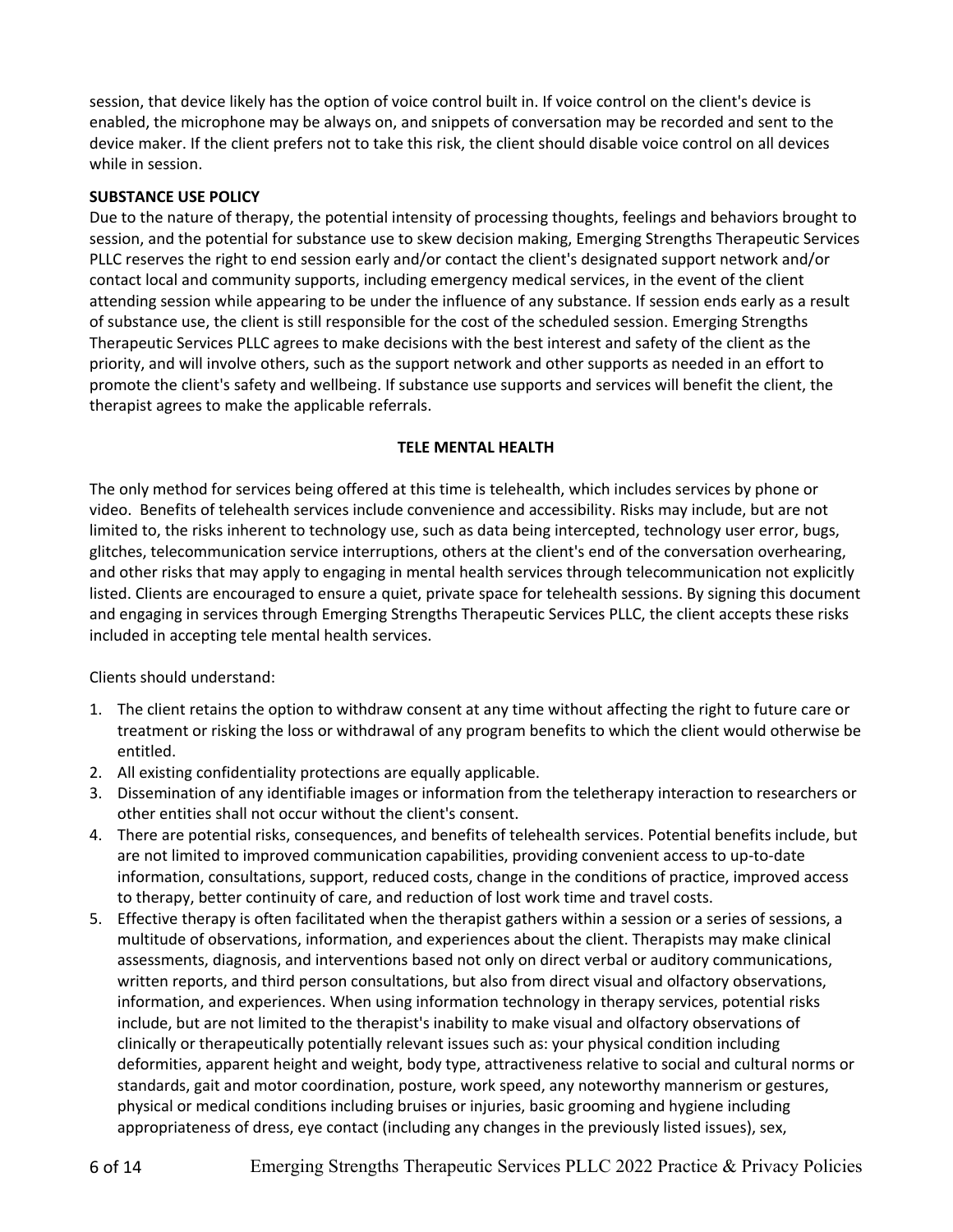session, that device likely has the option of voice control built in. If voice control on the client's device is enabled, the microphone may be always on, and snippets of conversation may be recorded and sent to the device maker. If the client prefers not to take this risk, the client should disable voice control on all devices while in session.

## **SUBSTANCE USE POLICY**

Due to the nature of therapy, the potential intensity of processing thoughts, feelings and behaviors brought to session, and the potential for substance use to skew decision making, Emerging Strengths Therapeutic Services PLLC reserves the right to end session early and/or contact the client's designated support network and/or contact local and community supports, including emergency medical services, in the event of the client attending session while appearing to be under the influence of any substance. If session ends early as a result of substance use, the client is still responsible for the cost of the scheduled session. Emerging Strengths Therapeutic Services PLLC agrees to make decisions with the best interest and safety of the client as the priority, and will involve others, such as the support network and other supports as needed in an effort to promote the client's safety and wellbeing. If substance use supports and services will benefit the client, the therapist agrees to make the applicable referrals.

#### **TELE MENTAL HEALTH**

The only method for services being offered at this time is telehealth, which includes services by phone or video. Benefits of telehealth services include convenience and accessibility. Risks may include, but are not limited to, the risks inherent to technology use, such as data being intercepted, technology user error, bugs, glitches, telecommunication service interruptions, others at the client's end of the conversation overhearing, and other risks that may apply to engaging in mental health services through telecommunication not explicitly listed. Clients are encouraged to ensure a quiet, private space for telehealth sessions. By signing this document and engaging in services through Emerging Strengths Therapeutic Services PLLC, the client accepts these risks included in accepting tele mental health services.

Clients should understand:

- 1. The client retains the option to withdraw consent at any time without affecting the right to future care or treatment or risking the loss or withdrawal of any program benefits to which the client would otherwise be entitled.
- 2. All existing confidentiality protections are equally applicable.
- 3. Dissemination of any identifiable images or information from the teletherapy interaction to researchers or other entities shall not occur without the client's consent.
- 4. There are potential risks, consequences, and benefits of telehealth services. Potential benefits include, but are not limited to improved communication capabilities, providing convenient access to up-to-date information, consultations, support, reduced costs, change in the conditions of practice, improved access to therapy, better continuity of care, and reduction of lost work time and travel costs.
- 5. Effective therapy is often facilitated when the therapist gathers within a session or a series of sessions, a multitude of observations, information, and experiences about the client. Therapists may make clinical assessments, diagnosis, and interventions based not only on direct verbal or auditory communications, written reports, and third person consultations, but also from direct visual and olfactory observations, information, and experiences. When using information technology in therapy services, potential risks include, but are not limited to the therapist's inability to make visual and olfactory observations of clinically or therapeutically potentially relevant issues such as: your physical condition including deformities, apparent height and weight, body type, attractiveness relative to social and cultural norms or standards, gait and motor coordination, posture, work speed, any noteworthy mannerism or gestures, physical or medical conditions including bruises or injuries, basic grooming and hygiene including appropriateness of dress, eye contact (including any changes in the previously listed issues), sex,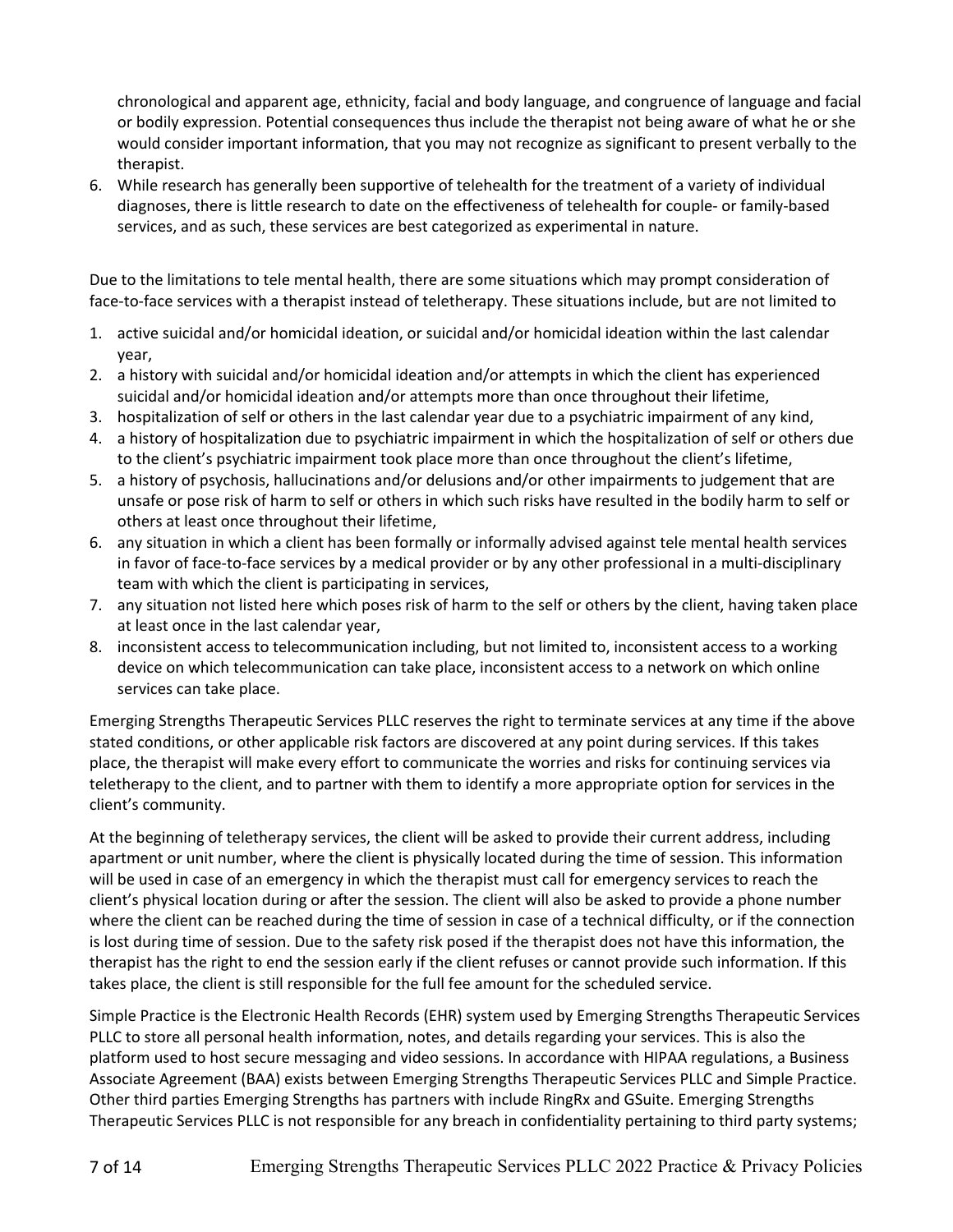chronological and apparent age, ethnicity, facial and body language, and congruence of language and facial or bodily expression. Potential consequences thus include the therapist not being aware of what he or she would consider important information, that you may not recognize as significant to present verbally to the therapist.

6. While research has generally been supportive of telehealth for the treatment of a variety of individual diagnoses, there is little research to date on the effectiveness of telehealth for couple- or family-based services, and as such, these services are best categorized as experimental in nature.

Due to the limitations to tele mental health, there are some situations which may prompt consideration of face-to-face services with a therapist instead of teletherapy. These situations include, but are not limited to

- 1. active suicidal and/or homicidal ideation, or suicidal and/or homicidal ideation within the last calendar year,
- 2. a history with suicidal and/or homicidal ideation and/or attempts in which the client has experienced suicidal and/or homicidal ideation and/or attempts more than once throughout their lifetime,
- 3. hospitalization of self or others in the last calendar year due to a psychiatric impairment of any kind,
- 4. a history of hospitalization due to psychiatric impairment in which the hospitalization of self or others due to the client's psychiatric impairment took place more than once throughout the client's lifetime,
- 5. a history of psychosis, hallucinations and/or delusions and/or other impairments to judgement that are unsafe or pose risk of harm to self or others in which such risks have resulted in the bodily harm to self or others at least once throughout their lifetime,
- 6. any situation in which a client has been formally or informally advised against tele mental health services in favor of face-to-face services by a medical provider or by any other professional in a multi-disciplinary team with which the client is participating in services,
- 7. any situation not listed here which poses risk of harm to the self or others by the client, having taken place at least once in the last calendar year,
- 8. inconsistent access to telecommunication including, but not limited to, inconsistent access to a working device on which telecommunication can take place, inconsistent access to a network on which online services can take place.

Emerging Strengths Therapeutic Services PLLC reserves the right to terminate services at any time if the above stated conditions, or other applicable risk factors are discovered at any point during services. If this takes place, the therapist will make every effort to communicate the worries and risks for continuing services via teletherapy to the client, and to partner with them to identify a more appropriate option for services in the client's community.

At the beginning of teletherapy services, the client will be asked to provide their current address, including apartment or unit number, where the client is physically located during the time of session. This information will be used in case of an emergency in which the therapist must call for emergency services to reach the client's physical location during or after the session. The client will also be asked to provide a phone number where the client can be reached during the time of session in case of a technical difficulty, or if the connection is lost during time of session. Due to the safety risk posed if the therapist does not have this information, the therapist has the right to end the session early if the client refuses or cannot provide such information. If this takes place, the client is still responsible for the full fee amount for the scheduled service.

Simple Practice is the Electronic Health Records (EHR) system used by Emerging Strengths Therapeutic Services PLLC to store all personal health information, notes, and details regarding your services. This is also the platform used to host secure messaging and video sessions. In accordance with HIPAA regulations, a Business Associate Agreement (BAA) exists between Emerging Strengths Therapeutic Services PLLC and Simple Practice. Other third parties Emerging Strengths has partners with include RingRx and GSuite. Emerging Strengths Therapeutic Services PLLC is not responsible for any breach in confidentiality pertaining to third party systems;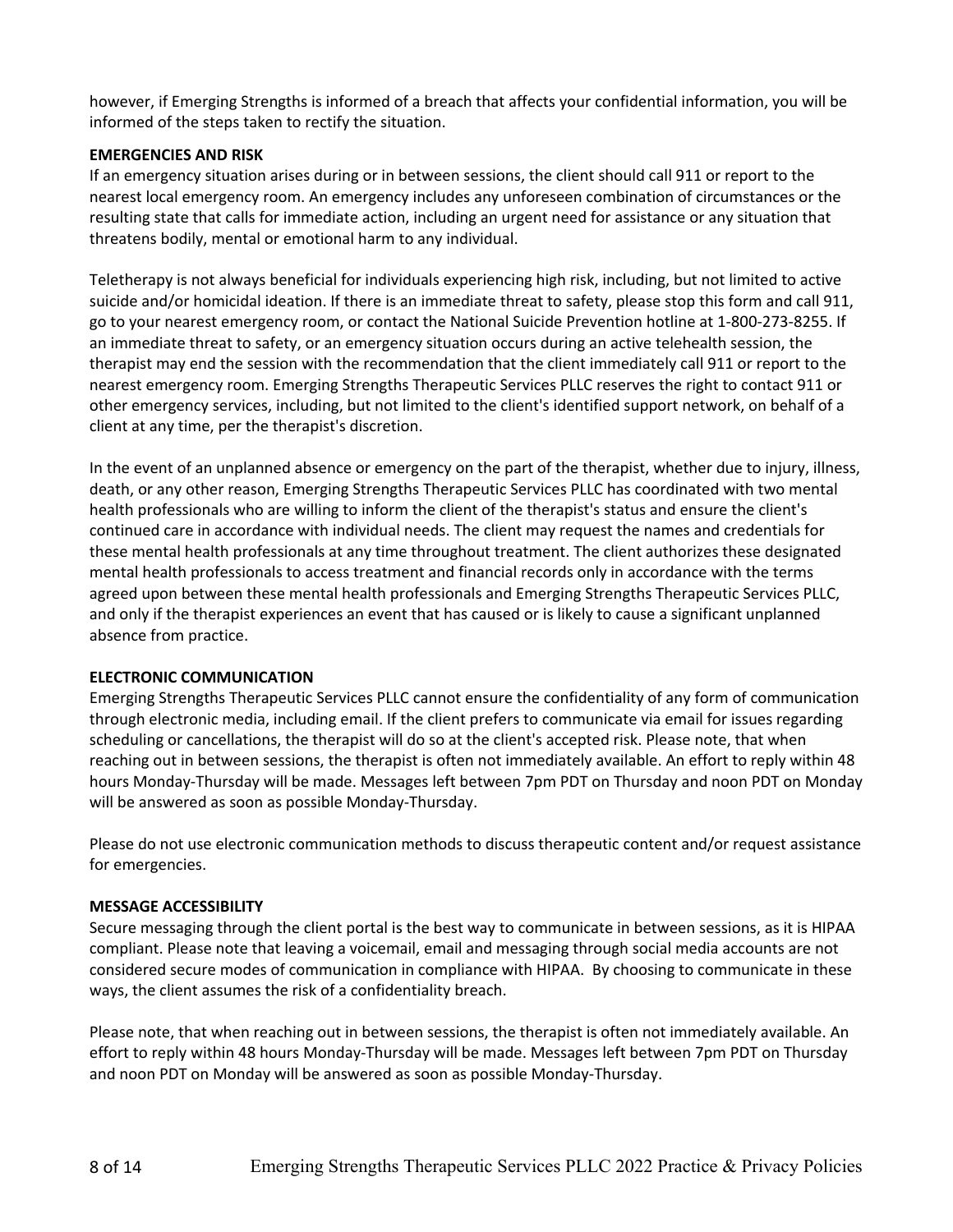however, if Emerging Strengths is informed of a breach that affects your confidential information, you will be informed of the steps taken to rectify the situation.

#### **EMERGENCIES AND RISK**

If an emergency situation arises during or in between sessions, the client should call 911 or report to the nearest local emergency room. An emergency includes any unforeseen combination of circumstances or the resulting state that calls for immediate action, including an urgent need for assistance or any situation that threatens bodily, mental or emotional harm to any individual.

Teletherapy is not always beneficial for individuals experiencing high risk, including, but not limited to active suicide and/or homicidal ideation. If there is an immediate threat to safety, please stop this form and call 911, go to your nearest emergency room, or contact the National Suicide Prevention hotline at 1-800-273-8255. If an immediate threat to safety, or an emergency situation occurs during an active telehealth session, the therapist may end the session with the recommendation that the client immediately call 911 or report to the nearest emergency room. Emerging Strengths Therapeutic Services PLLC reserves the right to contact 911 or other emergency services, including, but not limited to the client's identified support network, on behalf of a client at any time, per the therapist's discretion.

In the event of an unplanned absence or emergency on the part of the therapist, whether due to injury, illness, death, or any other reason, Emerging Strengths Therapeutic Services PLLC has coordinated with two mental health professionals who are willing to inform the client of the therapist's status and ensure the client's continued care in accordance with individual needs. The client may request the names and credentials for these mental health professionals at any time throughout treatment. The client authorizes these designated mental health professionals to access treatment and financial records only in accordance with the terms agreed upon between these mental health professionals and Emerging Strengths Therapeutic Services PLLC, and only if the therapist experiences an event that has caused or is likely to cause a significant unplanned absence from practice.

#### **ELECTRONIC COMMUNICATION**

Emerging Strengths Therapeutic Services PLLC cannot ensure the confidentiality of any form of communication through electronic media, including email. If the client prefers to communicate via email for issues regarding scheduling or cancellations, the therapist will do so at the client's accepted risk. Please note, that when reaching out in between sessions, the therapist is often not immediately available. An effort to reply within 48 hours Monday-Thursday will be made. Messages left between 7pm PDT on Thursday and noon PDT on Monday will be answered as soon as possible Monday-Thursday.

Please do not use electronic communication methods to discuss therapeutic content and/or request assistance for emergencies.

#### **MESSAGE ACCESSIBILITY**

Secure messaging through the client portal is the best way to communicate in between sessions, as it is HIPAA compliant. Please note that leaving a voicemail, email and messaging through social media accounts are not considered secure modes of communication in compliance with HIPAA. By choosing to communicate in these ways, the client assumes the risk of a confidentiality breach.

Please note, that when reaching out in between sessions, the therapist is often not immediately available. An effort to reply within 48 hours Monday-Thursday will be made. Messages left between 7pm PDT on Thursday and noon PDT on Monday will be answered as soon as possible Monday-Thursday.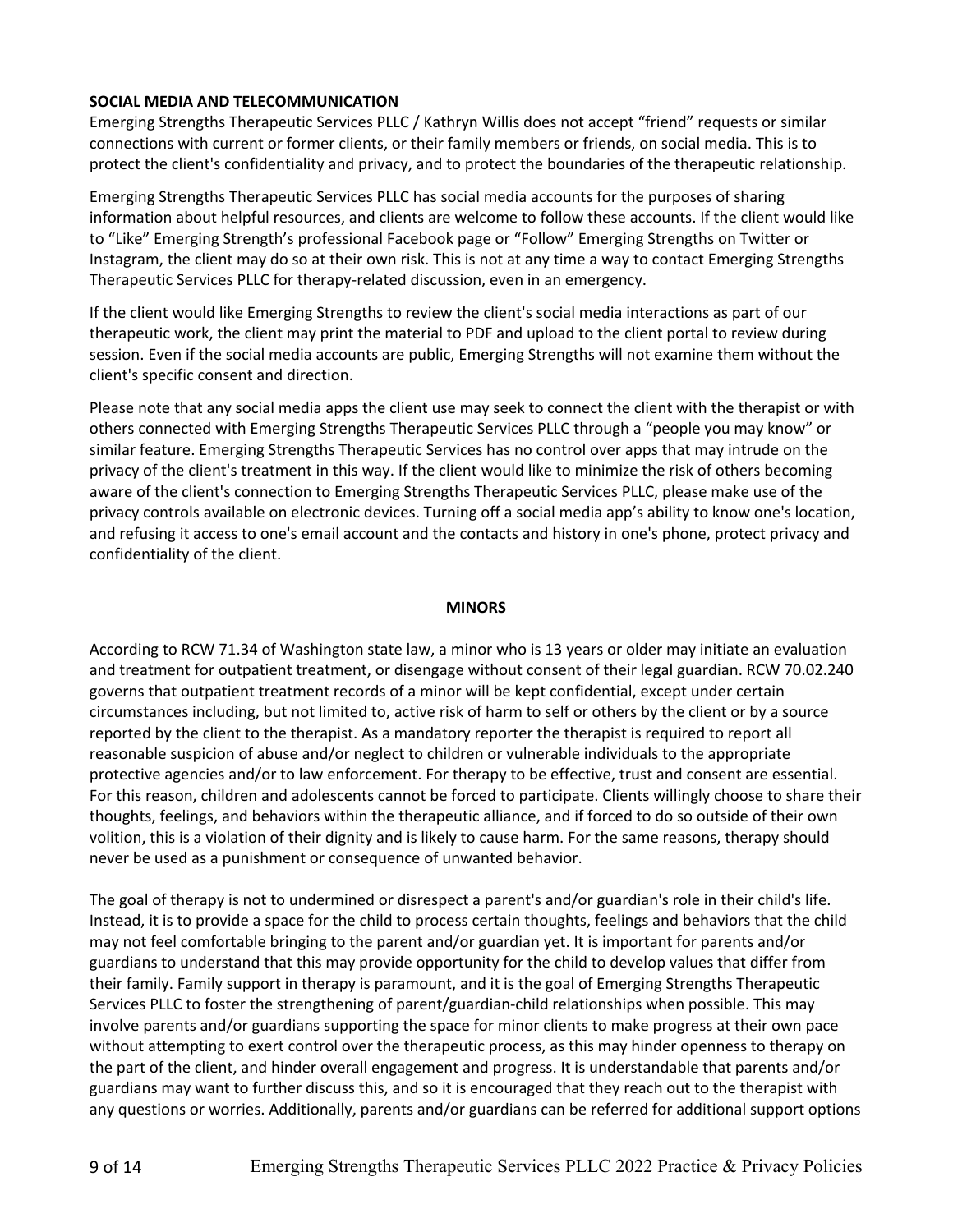## **SOCIAL MEDIA AND TELECOMMUNICATION**

Emerging Strengths Therapeutic Services PLLC / Kathryn Willis does not accept "friend" requests or similar connections with current or former clients, or their family members or friends, on social media. This is to protect the client's confidentiality and privacy, and to protect the boundaries of the therapeutic relationship.

Emerging Strengths Therapeutic Services PLLC has social media accounts for the purposes of sharing information about helpful resources, and clients are welcome to follow these accounts. If the client would like to "Like" Emerging Strength's professional Facebook page or "Follow" Emerging Strengths on Twitter or Instagram, the client may do so at their own risk. This is not at any time a way to contact Emerging Strengths Therapeutic Services PLLC for therapy-related discussion, even in an emergency.

If the client would like Emerging Strengths to review the client's social media interactions as part of our therapeutic work, the client may print the material to PDF and upload to the client portal to review during session. Even if the social media accounts are public, Emerging Strengths will not examine them without the client's specific consent and direction.

Please note that any social media apps the client use may seek to connect the client with the therapist or with others connected with Emerging Strengths Therapeutic Services PLLC through a "people you may know" or similar feature. Emerging Strengths Therapeutic Services has no control over apps that may intrude on the privacy of the client's treatment in this way. If the client would like to minimize the risk of others becoming aware of the client's connection to Emerging Strengths Therapeutic Services PLLC, please make use of the privacy controls available on electronic devices. Turning off a social media app's ability to know one's location, and refusing it access to one's email account and the contacts and history in one's phone, protect privacy and confidentiality of the client.

#### **MINORS**

According to RCW 71.34 of Washington state law, a minor who is 13 years or older may initiate an evaluation and treatment for outpatient treatment, or disengage without consent of their legal guardian. RCW 70.02.240 governs that outpatient treatment records of a minor will be kept confidential, except under certain circumstances including, but not limited to, active risk of harm to self or others by the client or by a source reported by the client to the therapist. As a mandatory reporter the therapist is required to report all reasonable suspicion of abuse and/or neglect to children or vulnerable individuals to the appropriate protective agencies and/or to law enforcement. For therapy to be effective, trust and consent are essential. For this reason, children and adolescents cannot be forced to participate. Clients willingly choose to share their thoughts, feelings, and behaviors within the therapeutic alliance, and if forced to do so outside of their own volition, this is a violation of their dignity and is likely to cause harm. For the same reasons, therapy should never be used as a punishment or consequence of unwanted behavior.

The goal of therapy is not to undermined or disrespect a parent's and/or guardian's role in their child's life. Instead, it is to provide a space for the child to process certain thoughts, feelings and behaviors that the child may not feel comfortable bringing to the parent and/or guardian yet. It is important for parents and/or guardians to understand that this may provide opportunity for the child to develop values that differ from their family. Family support in therapy is paramount, and it is the goal of Emerging Strengths Therapeutic Services PLLC to foster the strengthening of parent/guardian-child relationships when possible. This may involve parents and/or guardians supporting the space for minor clients to make progress at their own pace without attempting to exert control over the therapeutic process, as this may hinder openness to therapy on the part of the client, and hinder overall engagement and progress. It is understandable that parents and/or guardians may want to further discuss this, and so it is encouraged that they reach out to the therapist with any questions or worries. Additionally, parents and/or guardians can be referred for additional support options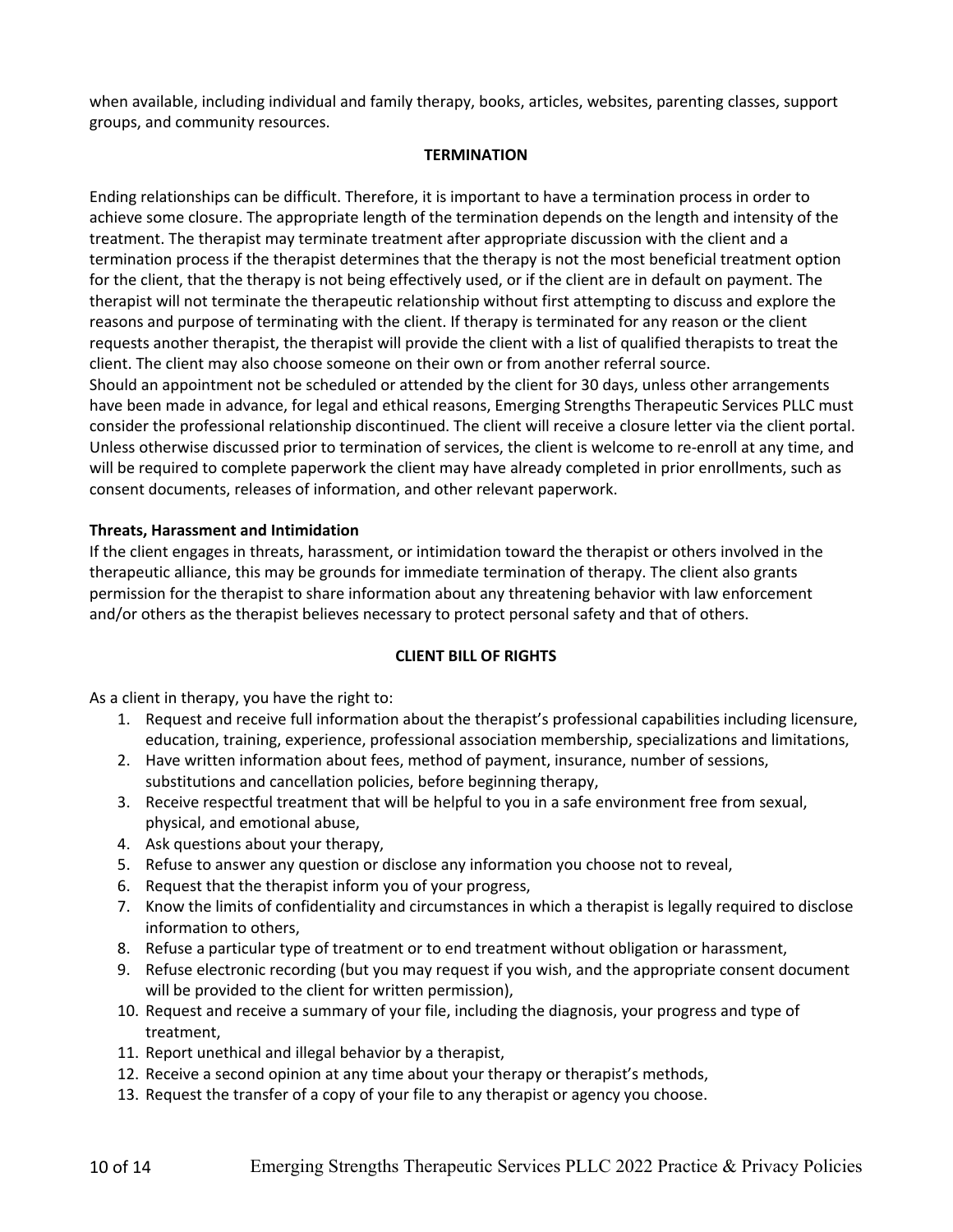when available, including individual and family therapy, books, articles, websites, parenting classes, support groups, and community resources.

#### **TERMINATION**

Ending relationships can be difficult. Therefore, it is important to have a termination process in order to achieve some closure. The appropriate length of the termination depends on the length and intensity of the treatment. The therapist may terminate treatment after appropriate discussion with the client and a termination process if the therapist determines that the therapy is not the most beneficial treatment option for the client, that the therapy is not being effectively used, or if the client are in default on payment. The therapist will not terminate the therapeutic relationship without first attempting to discuss and explore the reasons and purpose of terminating with the client. If therapy is terminated for any reason or the client requests another therapist, the therapist will provide the client with a list of qualified therapists to treat the client. The client may also choose someone on their own or from another referral source. Should an appointment not be scheduled or attended by the client for 30 days, unless other arrangements have been made in advance, for legal and ethical reasons, Emerging Strengths Therapeutic Services PLLC must consider the professional relationship discontinued. The client will receive a closure letter via the client portal. Unless otherwise discussed prior to termination of services, the client is welcome to re-enroll at any time, and will be required to complete paperwork the client may have already completed in prior enrollments, such as consent documents, releases of information, and other relevant paperwork.

## **Threats, Harassment and Intimidation**

If the client engages in threats, harassment, or intimidation toward the therapist or others involved in the therapeutic alliance, this may be grounds for immediate termination of therapy. The client also grants permission for the therapist to share information about any threatening behavior with law enforcement and/or others as the therapist believes necessary to protect personal safety and that of others.

#### **CLIENT BILL OF RIGHTS**

As a client in therapy, you have the right to:

- 1. Request and receive full information about the therapist's professional capabilities including licensure, education, training, experience, professional association membership, specializations and limitations,
- 2. Have written information about fees, method of payment, insurance, number of sessions, substitutions and cancellation policies, before beginning therapy,
- 3. Receive respectful treatment that will be helpful to you in a safe environment free from sexual, physical, and emotional abuse,
- 4. Ask questions about your therapy,
- 5. Refuse to answer any question or disclose any information you choose not to reveal,
- 6. Request that the therapist inform you of your progress,
- 7. Know the limits of confidentiality and circumstances in which a therapist is legally required to disclose information to others,
- 8. Refuse a particular type of treatment or to end treatment without obligation or harassment,
- 9. Refuse electronic recording (but you may request if you wish, and the appropriate consent document will be provided to the client for written permission),
- 10. Request and receive a summary of your file, including the diagnosis, your progress and type of treatment,
- 11. Report unethical and illegal behavior by a therapist,
- 12. Receive a second opinion at any time about your therapy or therapist's methods,
- 13. Request the transfer of a copy of your file to any therapist or agency you choose.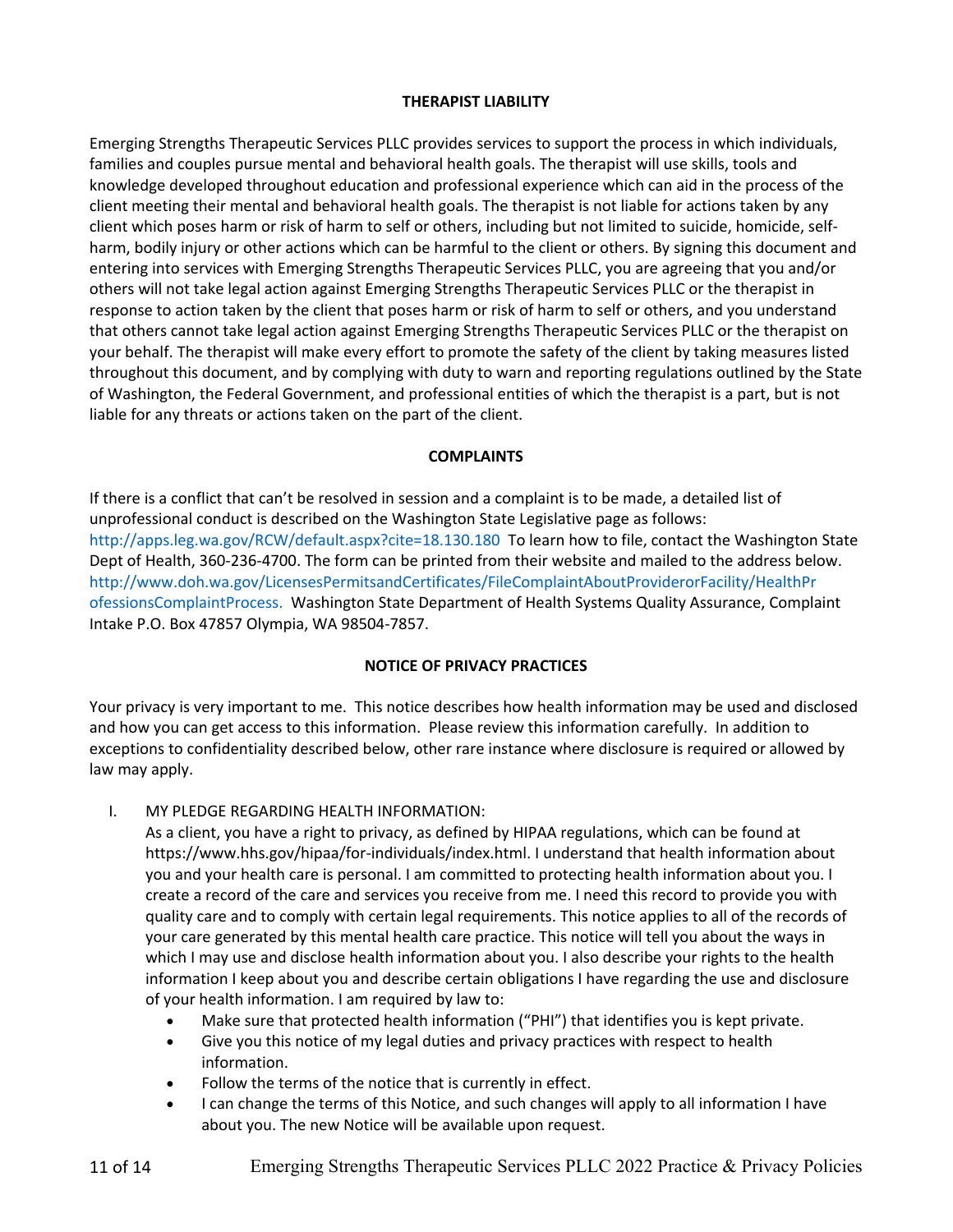#### **THERAPIST LIABILITY**

Emerging Strengths Therapeutic Services PLLC provides services to support the process in which individuals, families and couples pursue mental and behavioral health goals. The therapist will use skills, tools and knowledge developed throughout education and professional experience which can aid in the process of the client meeting their mental and behavioral health goals. The therapist is not liable for actions taken by any client which poses harm or risk of harm to self or others, including but not limited to suicide, homicide, selfharm, bodily injury or other actions which can be harmful to the client or others. By signing this document and entering into services with Emerging Strengths Therapeutic Services PLLC, you are agreeing that you and/or others will not take legal action against Emerging Strengths Therapeutic Services PLLC or the therapist in response to action taken by the client that poses harm or risk of harm to self or others, and you understand that others cannot take legal action against Emerging Strengths Therapeutic Services PLLC or the therapist on your behalf. The therapist will make every effort to promote the safety of the client by taking measures listed throughout this document, and by complying with duty to warn and reporting regulations outlined by the State of Washington, the Federal Government, and professional entities of which the therapist is a part, but is not liable for any threats or actions taken on the part of the client.

#### **COMPLAINTS**

If there is a conflict that can't be resolved in session and a complaint is to be made, a detailed list of unprofessional conduct is described on the Washington State Legislative page as follows: http://apps.leg.wa.gov/RCW/default.aspx?cite=18.130.180 To learn how to file, contact the Washington State Dept of Health, 360-236-4700. The form can be printed from their website and mailed to the address below. http://www.doh.wa.gov/LicensesPermitsandCertificates/FileComplaintAboutProviderorFacility/HealthPr ofessionsComplaintProcess. Washington State Department of Health Systems Quality Assurance, Complaint Intake P.O. Box 47857 Olympia, WA 98504-7857.

#### **NOTICE OF PRIVACY PRACTICES**

Your privacy is very important to me. This notice describes how health information may be used and disclosed and how you can get access to this information. Please review this information carefully. In addition to exceptions to confidentiality described below, other rare instance where disclosure is required or allowed by law may apply.

I. MY PLEDGE REGARDING HEALTH INFORMATION:

As a client, you have a right to privacy, as defined by HIPAA regulations, which can be found at https://www.hhs.gov/hipaa/for-individuals/index.html. I understand that health information about you and your health care is personal. I am committed to protecting health information about you. I create a record of the care and services you receive from me. I need this record to provide you with quality care and to comply with certain legal requirements. This notice applies to all of the records of your care generated by this mental health care practice. This notice will tell you about the ways in which I may use and disclose health information about you. I also describe your rights to the health information I keep about you and describe certain obligations I have regarding the use and disclosure of your health information. I am required by law to:

- Make sure that protected health information ("PHI") that identifies you is kept private.
- Give you this notice of my legal duties and privacy practices with respect to health information.
- Follow the terms of the notice that is currently in effect.
- I can change the terms of this Notice, and such changes will apply to all information I have about you. The new Notice will be available upon request.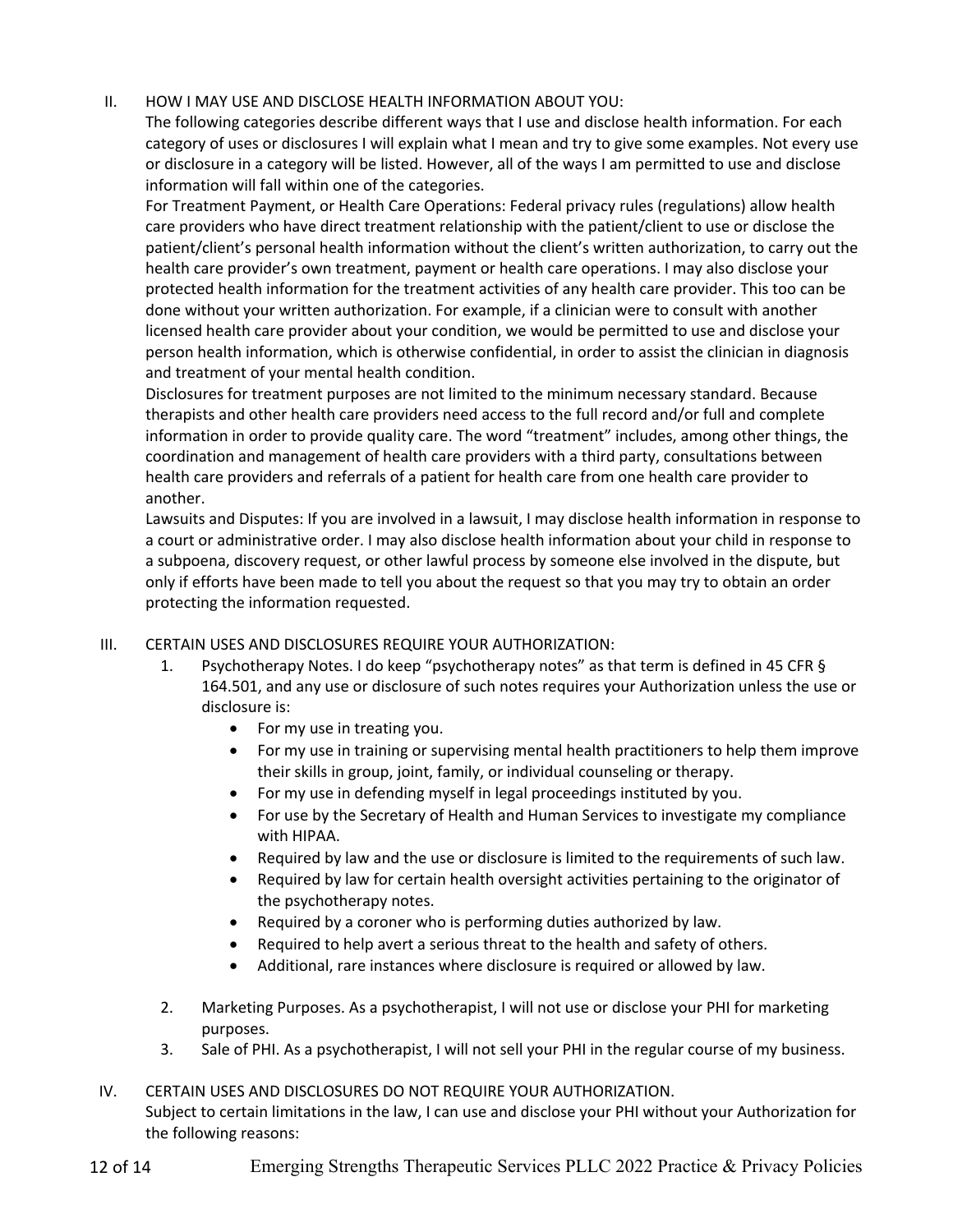## II. HOW I MAY USE AND DISCLOSE HEALTH INFORMATION ABOUT YOU:

The following categories describe different ways that I use and disclose health information. For each category of uses or disclosures I will explain what I mean and try to give some examples. Not every use or disclosure in a category will be listed. However, all of the ways I am permitted to use and disclose information will fall within one of the categories.

For Treatment Payment, or Health Care Operations: Federal privacy rules (regulations) allow health care providers who have direct treatment relationship with the patient/client to use or disclose the patient/client's personal health information without the client's written authorization, to carry out the health care provider's own treatment, payment or health care operations. I may also disclose your protected health information for the treatment activities of any health care provider. This too can be done without your written authorization. For example, if a clinician were to consult with another licensed health care provider about your condition, we would be permitted to use and disclose your person health information, which is otherwise confidential, in order to assist the clinician in diagnosis and treatment of your mental health condition.

Disclosures for treatment purposes are not limited to the minimum necessary standard. Because therapists and other health care providers need access to the full record and/or full and complete information in order to provide quality care. The word "treatment" includes, among other things, the coordination and management of health care providers with a third party, consultations between health care providers and referrals of a patient for health care from one health care provider to another.

Lawsuits and Disputes: If you are involved in a lawsuit, I may disclose health information in response to a court or administrative order. I may also disclose health information about your child in response to a subpoena, discovery request, or other lawful process by someone else involved in the dispute, but only if efforts have been made to tell you about the request so that you may try to obtain an order protecting the information requested.

- III. CERTAIN USES AND DISCLOSURES REQUIRE YOUR AUTHORIZATION:
	- 1. Psychotherapy Notes. I do keep "psychotherapy notes" as that term is defined in 45 CFR § 164.501, and any use or disclosure of such notes requires your Authorization unless the use or disclosure is:
		- For my use in treating you.
		- For my use in training or supervising mental health practitioners to help them improve their skills in group, joint, family, or individual counseling or therapy.
		- For my use in defending myself in legal proceedings instituted by you.
		- For use by the Secretary of Health and Human Services to investigate my compliance with HIPAA.
		- Required by law and the use or disclosure is limited to the requirements of such law.
		- Required by law for certain health oversight activities pertaining to the originator of the psychotherapy notes.
		- Required by a coroner who is performing duties authorized by law.
		- Required to help avert a serious threat to the health and safety of others.
		- Additional, rare instances where disclosure is required or allowed by law.
	- 2. Marketing Purposes. As a psychotherapist, I will not use or disclose your PHI for marketing purposes.
	- 3. Sale of PHI. As a psychotherapist, I will not sell your PHI in the regular course of my business.
- IV. CERTAIN USES AND DISCLOSURES DO NOT REQUIRE YOUR AUTHORIZATION. Subject to certain limitations in the law, I can use and disclose your PHI without your Authorization for the following reasons: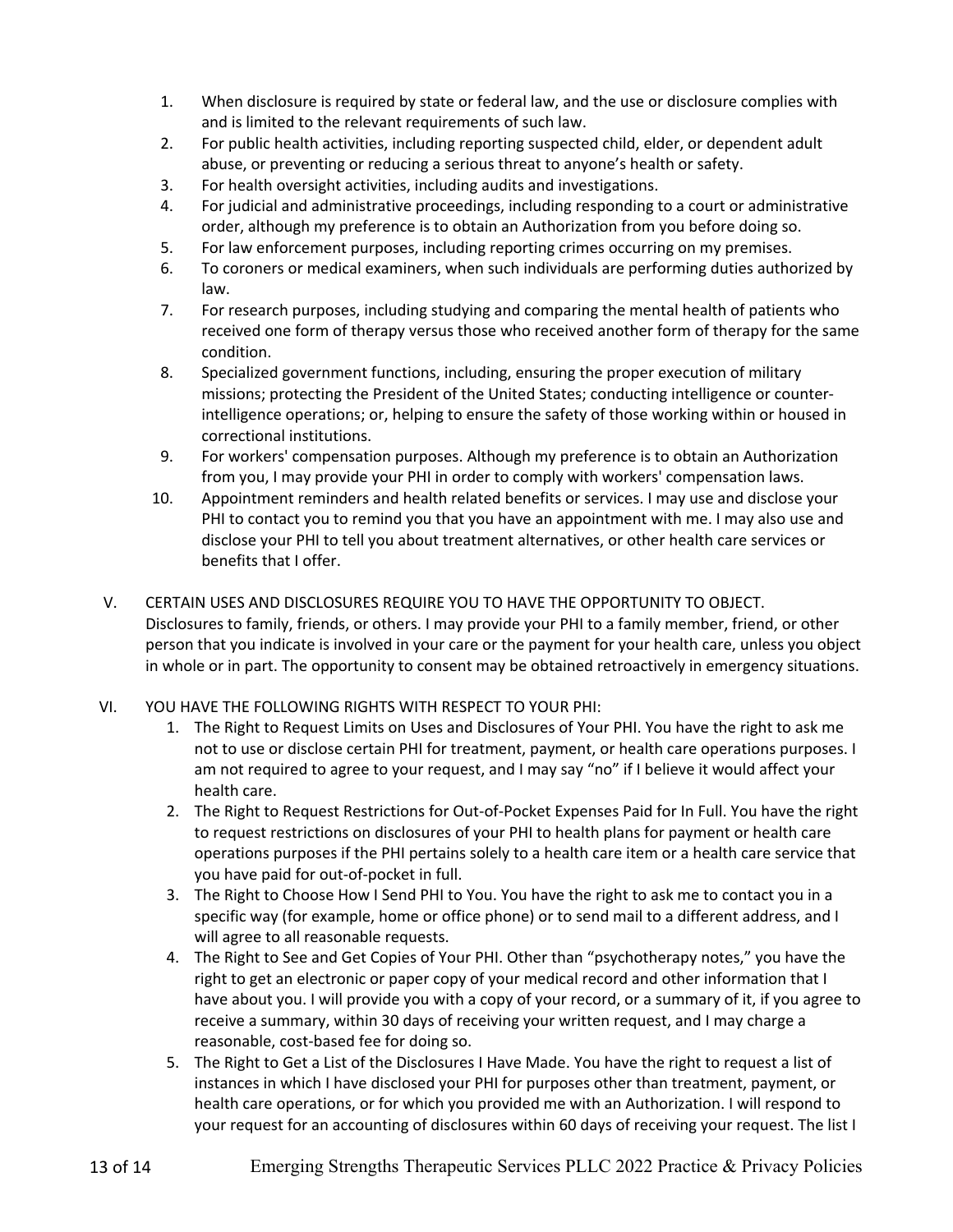- 1. When disclosure is required by state or federal law, and the use or disclosure complies with and is limited to the relevant requirements of such law.
- 2. For public health activities, including reporting suspected child, elder, or dependent adult abuse, or preventing or reducing a serious threat to anyone's health or safety.
- 3. For health oversight activities, including audits and investigations.
- 4. For judicial and administrative proceedings, including responding to a court or administrative order, although my preference is to obtain an Authorization from you before doing so.
- 5. For law enforcement purposes, including reporting crimes occurring on my premises.
- 6. To coroners or medical examiners, when such individuals are performing duties authorized by law.
- 7. For research purposes, including studying and comparing the mental health of patients who received one form of therapy versus those who received another form of therapy for the same condition.
- 8. Specialized government functions, including, ensuring the proper execution of military missions; protecting the President of the United States; conducting intelligence or counterintelligence operations; or, helping to ensure the safety of those working within or housed in correctional institutions.
- 9. For workers' compensation purposes. Although my preference is to obtain an Authorization from you, I may provide your PHI in order to comply with workers' compensation laws.
- 10. Appointment reminders and health related benefits or services. I may use and disclose your PHI to contact you to remind you that you have an appointment with me. I may also use and disclose your PHI to tell you about treatment alternatives, or other health care services or benefits that I offer.

## V. CERTAIN USES AND DISCLOSURES REQUIRE YOU TO HAVE THE OPPORTUNITY TO OBJECT.

Disclosures to family, friends, or others. I may provide your PHI to a family member, friend, or other person that you indicate is involved in your care or the payment for your health care, unless you object in whole or in part. The opportunity to consent may be obtained retroactively in emergency situations.

## VI. YOU HAVE THE FOLLOWING RIGHTS WITH RESPECT TO YOUR PHI:

- 1. The Right to Request Limits on Uses and Disclosures of Your PHI. You have the right to ask me not to use or disclose certain PHI for treatment, payment, or health care operations purposes. I am not required to agree to your request, and I may say "no" if I believe it would affect your health care.
- 2. The Right to Request Restrictions for Out-of-Pocket Expenses Paid for In Full. You have the right to request restrictions on disclosures of your PHI to health plans for payment or health care operations purposes if the PHI pertains solely to a health care item or a health care service that you have paid for out-of-pocket in full.
- 3. The Right to Choose How I Send PHI to You. You have the right to ask me to contact you in a specific way (for example, home or office phone) or to send mail to a different address, and I will agree to all reasonable requests.
- 4. The Right to See and Get Copies of Your PHI. Other than "psychotherapy notes," you have the right to get an electronic or paper copy of your medical record and other information that I have about you. I will provide you with a copy of your record, or a summary of it, if you agree to receive a summary, within 30 days of receiving your written request, and I may charge a reasonable, cost-based fee for doing so.
- 5. The Right to Get a List of the Disclosures I Have Made. You have the right to request a list of instances in which I have disclosed your PHI for purposes other than treatment, payment, or health care operations, or for which you provided me with an Authorization. I will respond to your request for an accounting of disclosures within 60 days of receiving your request. The list I